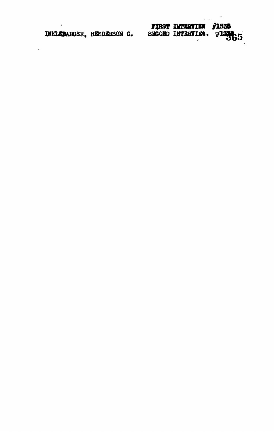| INKLEBARGER. HENDERSON C. |  | FIRST INTERVIEW #1338<br>SECOND INTERVIEW. 713965 |  |
|---------------------------|--|---------------------------------------------------|--|
|                           |  |                                                   |  |

 $\mathcal{L}_{\text{max}}$  ,  $\mathcal{L}_{\text{max}}$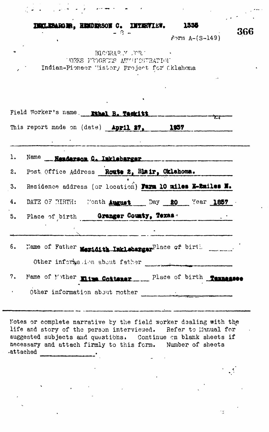1535 **INTERVIEW. INKLEBARGER. HEMDERSON C.** 

 $f \circ r$ m A-(S-149)

366

 $\mathcal{L}$ 

 $\tilde{\mathcal{L}}$ 

MORARY NORTH TORKS PROGRUMS ANTIFICULTERATION Indian-Pioneer Wistory Project for Cklahoma

 $-8 -$ 

| Field WOTKET's Hame. Ribel B. TACKING |                                                                                                                                                                                                                                   |  |  |  |  |
|---------------------------------------|-----------------------------------------------------------------------------------------------------------------------------------------------------------------------------------------------------------------------------------|--|--|--|--|
|                                       | This report made on (date) April 27, 1957                                                                                                                                                                                         |  |  |  |  |
|                                       | r a component a component and the component of the component and the component of the component and the component<br>The component and the component and the component and the component of the component and the component of th |  |  |  |  |
|                                       | 2. Post Office Address Route 2, Blair, Oklahoma.                                                                                                                                                                                  |  |  |  |  |
|                                       | 3. Residence address (or location) Farm 10 miles E-Emiles H.                                                                                                                                                                      |  |  |  |  |
|                                       | 4. DATE OF BIRTH: Month August Day 20 Year 1857                                                                                                                                                                                   |  |  |  |  |
|                                       | 5. Place of birth Granger County, Texas                                                                                                                                                                                           |  |  |  |  |
|                                       |                                                                                                                                                                                                                                   |  |  |  |  |
|                                       |                                                                                                                                                                                                                                   |  |  |  |  |
|                                       | Other information about father                                                                                                                                                                                                    |  |  |  |  |
|                                       | 7. Mame of Mother Rive Cottener  Place of birth Tennessee                                                                                                                                                                         |  |  |  |  |
|                                       | Other information about mother                                                                                                                                                                                                    |  |  |  |  |

Notes or complete narrative by the field worker dealing with the life and story of the person intervieued. Refer to Manual for suggested subjects and questions. Continue on blank sheets if necessary and attach firmly to this form. Number of sheets .attached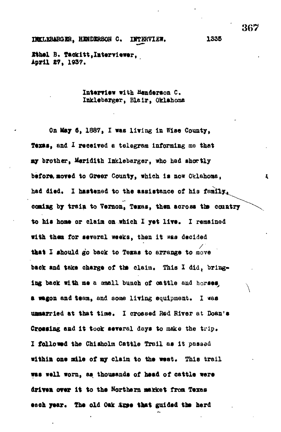**Jtthel B. Ts.ekitt,lRterviewer, April £7, 1937.**

> Interview with Henderson C. **Inklebarger, Blair, Oklahoma**

**On May 6, 1887, I was living In Wise County, Texas, and I received a telegram informing me that** ay brother, Meridith Inklebarger, who had showtly before moved to Greer County, which is now Oklahoma, **had died, I hastened to the assistance of his family** coming by train to Vernon, Texas, then across the country **to his hons or claim on which I yet lire. I remained with them for sererel weeks, then it was decided that X should go back to Texas to arrange to move** back and take charge of the claim. This I did, bringing back with me a small bunch of cattle and horses, **a wagon and team, and some living equipment, I was unmarried at that time. I crossed Bed River at Doan's Crossing and it took several days to make the trip. I followed the Chisholm Cattle Trail as it passed** within one mile of my claim to the west. This trail **was well worn, as thousands of head of cattle were** driven over it to the Northern market from Texas eech year. The old Oak *inse* that guided the herd

367

 $\mathbf{z}$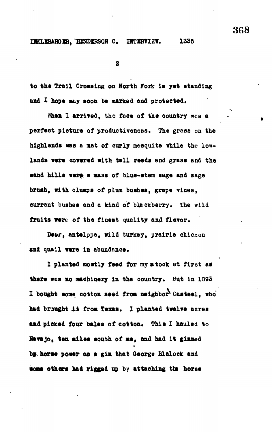**INKLKBARGIR, HENDERSON C. INTERVIZW, 1335** 

 $\mathbf{z}$ 

to the Trail Crossing on North Fork is yet standing **and X nope may soon be marked and protected.**

**When I arrired, the face of the country wes a perfect picture of productiveness. The grass on the** highlands was a mat of curly mesquite while the low**lands were corered with tall reeds and grass and the sand hills nere a mass of blue-stem sage and sage** brush, with clumps of plum bushes, grape vines, **currant bushes and a kind of blackberry. The wild** fruits were of the finest quality and flavor.

**Deer, antalppe, wild turkey, prairie chicken sad quail were in abundance.**

**I planted mostly feed for my stock at first as** there was no machinery in the country. But in 1893 **I bought some cotton seed from neighbor Casteel, who'** had brought it from Texas. I planted twelve acres **smd picked four bales of cotton. This I hauled to HareJo, ten miles south of me, and had it ginned by horse power oa a gin that George Blalock and** some others had rigged up by attaching the horse

368